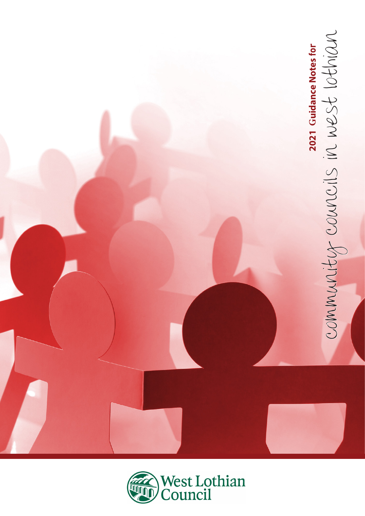

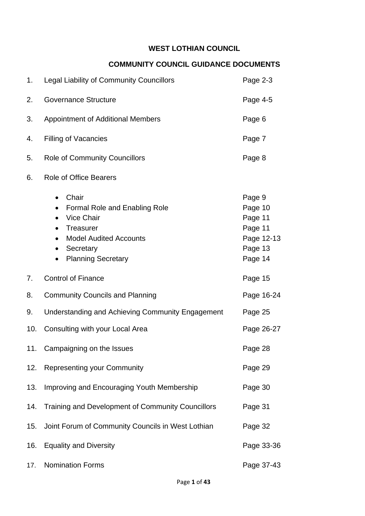# **WEST LOTHIAN COUNCIL**

# **COMMUNITY COUNCIL GUIDANCE DOCUMENTS**

| 1.  | Legal Liability of Community Councillors                                                                                                                                                                       | Page 2-3                                                                    |
|-----|----------------------------------------------------------------------------------------------------------------------------------------------------------------------------------------------------------------|-----------------------------------------------------------------------------|
| 2.  | <b>Governance Structure</b>                                                                                                                                                                                    | Page 4-5                                                                    |
| 3.  | <b>Appointment of Additional Members</b>                                                                                                                                                                       | Page 6                                                                      |
| 4.  | <b>Filling of Vacancies</b>                                                                                                                                                                                    | Page 7                                                                      |
| 5.  | <b>Role of Community Councillors</b>                                                                                                                                                                           | Page 8                                                                      |
| 6.  | <b>Role of Office Bearers</b>                                                                                                                                                                                  |                                                                             |
|     | Chair<br>$\bullet$<br><b>Formal Role and Enabling Role</b><br><b>Vice Chair</b><br>$\bullet$<br>Treasurer<br>$\bullet$<br><b>Model Audited Accounts</b><br>$\bullet$<br>Secretary<br><b>Planning Secretary</b> | Page 9<br>Page 10<br>Page 11<br>Page 11<br>Page 12-13<br>Page 13<br>Page 14 |
| 7.  | <b>Control of Finance</b>                                                                                                                                                                                      | Page 15                                                                     |
| 8.  | <b>Community Councils and Planning</b>                                                                                                                                                                         | Page 16-24                                                                  |
| 9.  | Understanding and Achieving Community Engagement                                                                                                                                                               | Page 25                                                                     |
| 10. | Consulting with your Local Area                                                                                                                                                                                | Page 26-27                                                                  |
| 11. | Campaigning on the Issues                                                                                                                                                                                      | Page 28                                                                     |
| 12. | <b>Representing your Community</b>                                                                                                                                                                             | Page 29                                                                     |
| 13. | Improving and Encouraging Youth Membership                                                                                                                                                                     | Page 30                                                                     |
| 14. | Training and Development of Community Councillors                                                                                                                                                              | Page 31                                                                     |
| 15. | Joint Forum of Community Councils in West Lothian                                                                                                                                                              | Page 32                                                                     |
|     | 16. Equality and Diversity                                                                                                                                                                                     | Page 33-36                                                                  |
| 17. | <b>Nomination Forms</b>                                                                                                                                                                                        | Page 37-43                                                                  |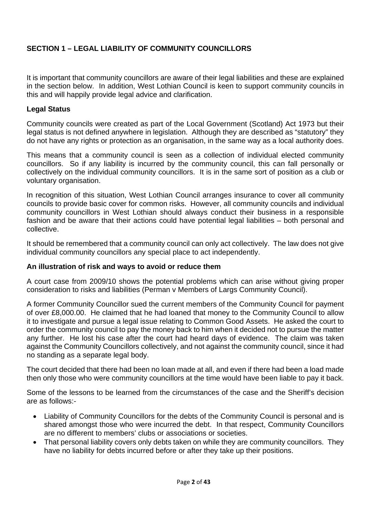# **SECTION 1 – LEGAL LIABILITY OF COMMUNITY COUNCILLORS**

It is important that community councillors are aware of their legal liabilities and these are explained in the section below. In addition, West Lothian Council is keen to support community councils in this and will happily provide legal advice and clarification.

### **Legal Status**

Community councils were created as part of the Local Government (Scotland) Act 1973 but their legal status is not defined anywhere in legislation. Although they are described as "statutory" they do not have any rights or protection as an organisation, in the same way as a local authority does.

This means that a community council is seen as a collection of individual elected community councillors. So if any liability is incurred by the community council, this can fall personally or collectively on the individual community councillors. It is in the same sort of position as a club or voluntary organisation.

In recognition of this situation, West Lothian Council arranges insurance to cover all community councils to provide basic cover for common risks. However, all community councils and individual community councillors in West Lothian should always conduct their business in a responsible fashion and be aware that their actions could have potential legal liabilities – both personal and collective.

It should be remembered that a community council can only act collectively. The law does not give individual community councillors any special place to act independently.

#### **An illustration of risk and ways to avoid or reduce them**

A court case from 2009/10 shows the potential problems which can arise without giving proper consideration to risks and liabilities (Perman v Members of Largs Community Council).

A former Community Councillor sued the current members of the Community Council for payment of over £8,000.00. He claimed that he had loaned that money to the Community Council to allow it to investigate and pursue a legal issue relating to Common Good Assets. He asked the court to order the community council to pay the money back to him when it decided not to pursue the matter any further. He lost his case after the court had heard days of evidence. The claim was taken against the Community Councillors collectively, and not against the community council, since it had no standing as a separate legal body.

The court decided that there had been no loan made at all, and even if there had been a load made then only those who were community councillors at the time would have been liable to pay it back.

Some of the lessons to be learned from the circumstances of the case and the Sheriff's decision are as follows:-

- Liability of Community Councillors for the debts of the Community Council is personal and is shared amongst those who were incurred the debt. In that respect, Community Councillors are no different to members' clubs or associations or societies.
- That personal liability covers only debts taken on while they are community councillors. They have no liability for debts incurred before or after they take up their positions.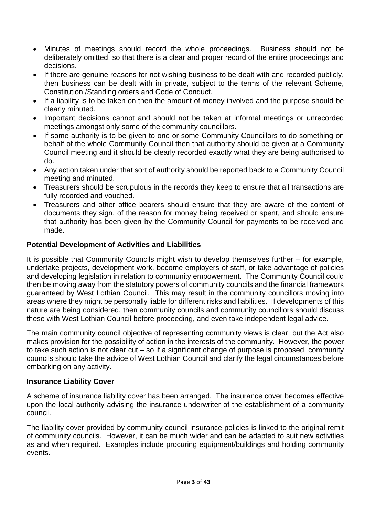- Minutes of meetings should record the whole proceedings. Business should not be deliberately omitted, so that there is a clear and proper record of the entire proceedings and decisions.
- If there are genuine reasons for not wishing business to be dealt with and recorded publicly, then business can be dealt with in private, subject to the terms of the relevant Scheme, Constitution,/Standing orders and Code of Conduct.
- If a liability is to be taken on then the amount of money involved and the purpose should be clearly minuted.
- Important decisions cannot and should not be taken at informal meetings or unrecorded meetings amongst only some of the community councillors.
- If some authority is to be given to one or some Community Councillors to do something on behalf of the whole Community Council then that authority should be given at a Community Council meeting and it should be clearly recorded exactly what they are being authorised to do.
- Any action taken under that sort of authority should be reported back to a Community Council meeting and minuted.
- Treasurers should be scrupulous in the records they keep to ensure that all transactions are fully recorded and vouched.
- Treasurers and other office bearers should ensure that they are aware of the content of documents they sign, of the reason for money being received or spent, and should ensure that authority has been given by the Community Council for payments to be received and made.

### **Potential Development of Activities and Liabilities**

It is possible that Community Councils might wish to develop themselves further – for example, undertake projects, development work, become employers of staff, or take advantage of policies and developing legislation in relation to community empowerment. The Community Council could then be moving away from the statutory powers of community councils and the financial framework guaranteed by West Lothian Council. This may result in the community councillors moving into areas where they might be personally liable for different risks and liabilities. If developments of this nature are being considered, then community councils and community councillors should discuss these with West Lothian Council before proceeding, and even take independent legal advice.

The main community council objective of representing community views is clear, but the Act also makes provision for the possibility of action in the interests of the community. However, the power to take such action is not clear cut – so if a significant change of purpose is proposed, community councils should take the advice of West Lothian Council and clarify the legal circumstances before embarking on any activity.

#### **Insurance Liability Cover**

A scheme of insurance liability cover has been arranged. The insurance cover becomes effective upon the local authority advising the insurance underwriter of the establishment of a community council.

The liability cover provided by community council insurance policies is linked to the original remit of community councils. However, it can be much wider and can be adapted to suit new activities as and when required. Examples include procuring equipment/buildings and holding community events.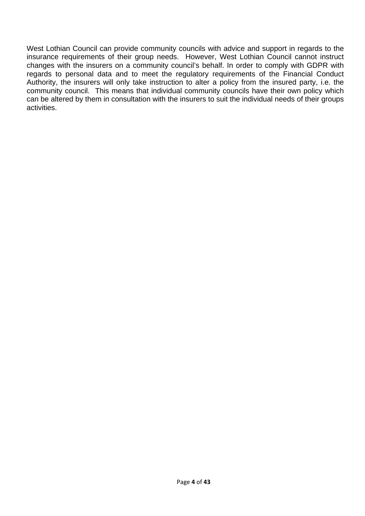West Lothian Council can provide community councils with advice and support in regards to the insurance requirements of their group needs. However, West Lothian Council cannot instruct changes with the insurers on a community council's behalf. In order to comply with GDPR with regards to personal data and to meet the regulatory requirements of the Financial Conduct Authority, the insurers will only take instruction to alter a policy from the insured party, i.e. the community council. This means that individual community councils have their own policy which can be altered by them in consultation with the insurers to suit the individual needs of their groups activities.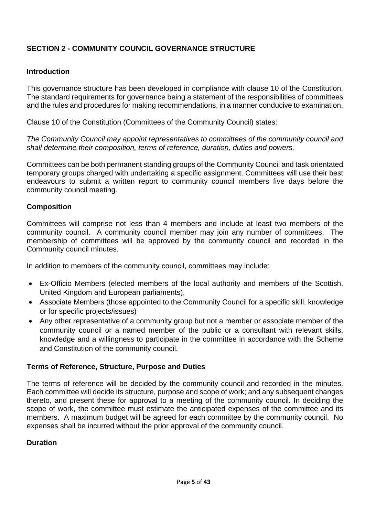# **SECTION 2 - COMMUNITY COUNCIL GOVERNANCE STRUCTURE**

### **Introduction**

This governance structure has been developed in compliance with clause 10 of the Constitution. The standard requirements for governance being a statement of the responsibilities of committees and the rules and procedures for making recommendations, in a manner conducive to examination.

Clause 10 of the Constitution (Committees of the Community Council) states:

*The Community Council may appoint representatives to committees of the community council and shall determine their composition, terms of reference, duration, duties and powers.*

Committees can be both permanent standing groups of the Community Council and task orientated temporary groups charged with undertaking a specific assignment. Committees will use their best endeavours to submit a written report to community council members five days before the community council meeting.

### **Composition**

Committees will comprise not less than 4 members and include at least two members of the community council. A community council member may join any number of committees. The membership of committees will be approved by the community council and recorded in the Community council minutes.

In addition to members of the community council, committees may include:

- Ex-Officio Members (elected members of the local authority and members of the Scottish, United Kingdom and European parliaments),
- Associate Members (those appointed to the Community Council for a specific skill, knowledge or for specific projects/issues)
- Any other representative of a community group but not a member or associate member of the community council or a named member of the public or a consultant with relevant skills, knowledge and a willingness to participate in the committee in accordance with the Scheme and Constitution of the community council.

#### **Terms of Reference, Structure, Purpose and Duties**

The terms of reference will be decided by the community council and recorded in the minutes. Each committee will decide its structure, purpose and scope of work; and any subsequent changes thereto, and present these for approval to a meeting of the community council. In deciding the scope of work, the committee must estimate the anticipated expenses of the committee and its members. A maximum budget will be agreed for each committee by the community council. No expenses shall be incurred without the prior approval of the community council.

#### **Duration**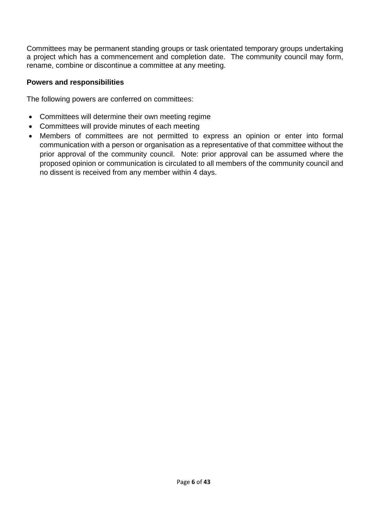Committees may be permanent standing groups or task orientated temporary groups undertaking a project which has a commencement and completion date. The community council may form, rename, combine or discontinue a committee at any meeting.

### **Powers and responsibilities**

The following powers are conferred on committees:

- Committees will determine their own meeting regime
- Committees will provide minutes of each meeting
- Members of committees are not permitted to express an opinion or enter into formal communication with a person or organisation as a representative of that committee without the prior approval of the community council. Note: prior approval can be assumed where the proposed opinion or communication is circulated to all members of the community council and no dissent is received from any member within 4 days.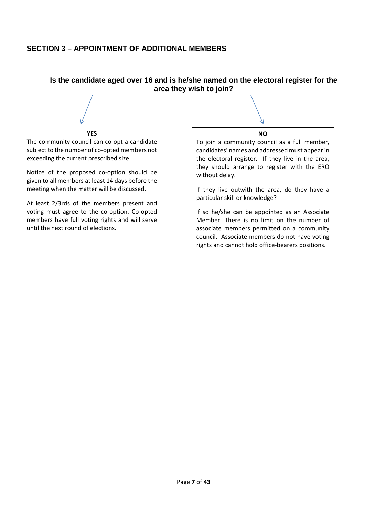## **SECTION 3 – APPOINTMENT OF ADDITIONAL MEMBERS**

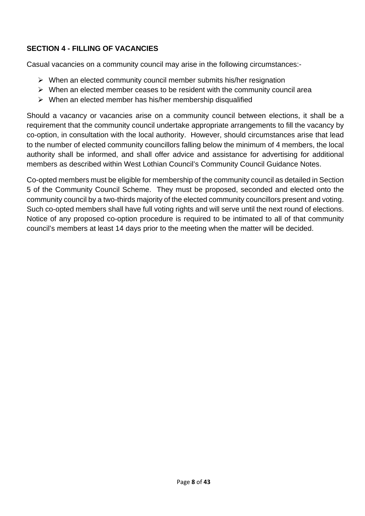# **SECTION 4 - FILLING OF VACANCIES**

Casual vacancies on a community council may arise in the following circumstances:-

- $\triangleright$  When an elected community council member submits his/her resignation
- $\triangleright$  When an elected member ceases to be resident with the community council area
- $\triangleright$  When an elected member has his/her membership disqualified

Should a vacancy or vacancies arise on a community council between elections, it shall be a requirement that the community council undertake appropriate arrangements to fill the vacancy by co-option, in consultation with the local authority. However, should circumstances arise that lead to the number of elected community councillors falling below the minimum of 4 members, the local authority shall be informed, and shall offer advice and assistance for advertising for additional members as described within West Lothian Council's Community Council Guidance Notes.

Co-opted members must be eligible for membership of the community council as detailed in Section 5 of the Community Council Scheme. They must be proposed, seconded and elected onto the community council by a two-thirds majority of the elected community councillors present and voting. Such co-opted members shall have full voting rights and will serve until the next round of elections. Notice of any proposed co-option procedure is required to be intimated to all of that community council's members at least 14 days prior to the meeting when the matter will be decided.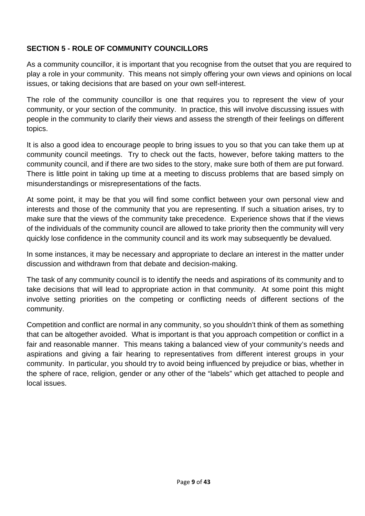# **SECTION 5 - ROLE OF COMMUNITY COUNCILLORS**

As a community councillor, it is important that you recognise from the outset that you are required to play a role in your community. This means not simply offering your own views and opinions on local issues, or taking decisions that are based on your own self-interest.

The role of the community councillor is one that requires you to represent the view of your community, or your section of the community. In practice, this will involve discussing issues with people in the community to clarify their views and assess the strength of their feelings on different topics.

It is also a good idea to encourage people to bring issues to you so that you can take them up at community council meetings. Try to check out the facts, however, before taking matters to the community council, and if there are two sides to the story, make sure both of them are put forward. There is little point in taking up time at a meeting to discuss problems that are based simply on misunderstandings or misrepresentations of the facts.

At some point, it may be that you will find some conflict between your own personal view and interests and those of the community that you are representing. If such a situation arises, try to make sure that the views of the community take precedence. Experience shows that if the views of the individuals of the community council are allowed to take priority then the community will very quickly lose confidence in the community council and its work may subsequently be devalued.

In some instances, it may be necessary and appropriate to declare an interest in the matter under discussion and withdrawn from that debate and decision-making.

The task of any community council is to identify the needs and aspirations of its community and to take decisions that will lead to appropriate action in that community. At some point this might involve setting priorities on the competing or conflicting needs of different sections of the community.

Competition and conflict are normal in any community, so you shouldn't think of them as something that can be altogether avoided. What is important is that you approach competition or conflict in a fair and reasonable manner. This means taking a balanced view of your community's needs and aspirations and giving a fair hearing to representatives from different interest groups in your community. In particular, you should try to avoid being influenced by prejudice or bias, whether in the sphere of race, religion, gender or any other of the "labels" which get attached to people and local issues.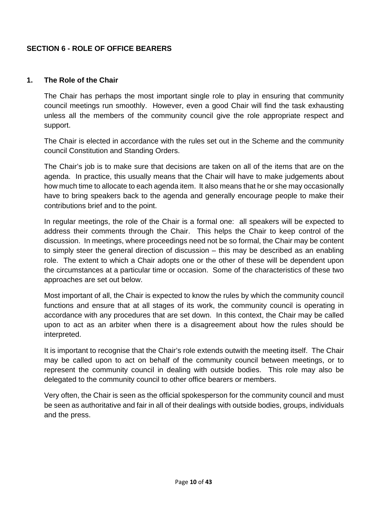# **SECTION 6 - ROLE OF OFFICE BEARERS**

#### **1. The Role of the Chair**

The Chair has perhaps the most important single role to play in ensuring that community council meetings run smoothly. However, even a good Chair will find the task exhausting unless all the members of the community council give the role appropriate respect and support.

The Chair is elected in accordance with the rules set out in the Scheme and the community council Constitution and Standing Orders.

The Chair's job is to make sure that decisions are taken on all of the items that are on the agenda. In practice, this usually means that the Chair will have to make judgements about how much time to allocate to each agenda item. It also means that he or she may occasionally have to bring speakers back to the agenda and generally encourage people to make their contributions brief and to the point.

In regular meetings, the role of the Chair is a formal one: all speakers will be expected to address their comments through the Chair. This helps the Chair to keep control of the discussion. In meetings, where proceedings need not be so formal, the Chair may be content to simply steer the general direction of discussion – this may be described as an enabling role. The extent to which a Chair adopts one or the other of these will be dependent upon the circumstances at a particular time or occasion. Some of the characteristics of these two approaches are set out below.

Most important of all, the Chair is expected to know the rules by which the community council functions and ensure that at all stages of its work, the community council is operating in accordance with any procedures that are set down. In this context, the Chair may be called upon to act as an arbiter when there is a disagreement about how the rules should be interpreted.

It is important to recognise that the Chair's role extends outwith the meeting itself. The Chair may be called upon to act on behalf of the community council between meetings, or to represent the community council in dealing with outside bodies. This role may also be delegated to the community council to other office bearers or members.

Very often, the Chair is seen as the official spokesperson for the community council and must be seen as authoritative and fair in all of their dealings with outside bodies, groups, individuals and the press.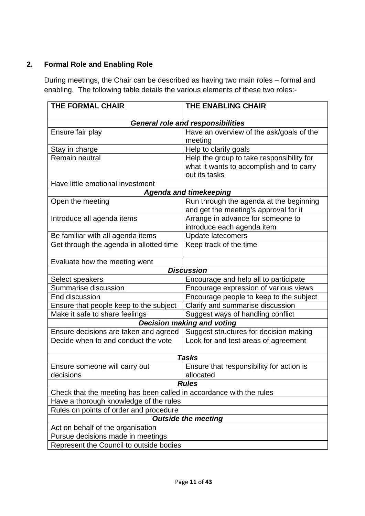# **2. Formal Role and Enabling Role**

During meetings, the Chair can be described as having two main roles – formal and enabling. The following table details the various elements of these two roles:-

| <b>THE FORMAL CHAIR</b>                                             | <b>THE ENABLING CHAIR</b>                                                                              |  |  |
|---------------------------------------------------------------------|--------------------------------------------------------------------------------------------------------|--|--|
|                                                                     |                                                                                                        |  |  |
|                                                                     | General role and responsibilities                                                                      |  |  |
| Ensure fair play                                                    | Have an overview of the ask/goals of the<br>meeting                                                    |  |  |
| Stay in charge                                                      | Help to clarify goals                                                                                  |  |  |
| Remain neutral                                                      | Help the group to take responsibility for<br>what it wants to accomplish and to carry<br>out its tasks |  |  |
| Have little emotional investment                                    |                                                                                                        |  |  |
|                                                                     | <b>Agenda and timekeeping</b>                                                                          |  |  |
| Open the meeting                                                    | Run through the agenda at the beginning<br>and get the meeting's approval for it                       |  |  |
| Introduce all agenda items                                          | Arrange in advance for someone to<br>introduce each agenda item                                        |  |  |
| Be familiar with all agenda items                                   | <b>Update latecomers</b>                                                                               |  |  |
| Get through the agenda in allotted time                             | Keep track of the time                                                                                 |  |  |
| Evaluate how the meeting went                                       |                                                                                                        |  |  |
|                                                                     | <b>Discussion</b>                                                                                      |  |  |
| Select speakers                                                     | Encourage and help all to participate                                                                  |  |  |
| Summarise discussion                                                | Encourage expression of various views                                                                  |  |  |
| End discussion                                                      | Encourage people to keep to the subject                                                                |  |  |
| Ensure that people keep to the subject                              | Clarify and summarise discussion                                                                       |  |  |
| Make it safe to share feelings                                      | Suggest ways of handling conflict                                                                      |  |  |
|                                                                     | <b>Decision making and voting</b>                                                                      |  |  |
| Ensure decisions are taken and agreed                               | Suggest structures for decision making                                                                 |  |  |
| Decide when to and conduct the vote                                 | Look for and test areas of agreement                                                                   |  |  |
|                                                                     | <b>Tasks</b>                                                                                           |  |  |
| Ensure someone will carry out<br>decisions                          | Ensure that responsibility for action is<br>allocated                                                  |  |  |
| <b>Rules</b>                                                        |                                                                                                        |  |  |
| Check that the meeting has been called in accordance with the rules |                                                                                                        |  |  |
| Have a thorough knowledge of the rules                              |                                                                                                        |  |  |
| Rules on points of order and procedure                              |                                                                                                        |  |  |
| <b>Outside the meeting</b>                                          |                                                                                                        |  |  |
| Act on behalf of the organisation                                   |                                                                                                        |  |  |
| Pursue decisions made in meetings                                   |                                                                                                        |  |  |
| Represent the Council to outside bodies                             |                                                                                                        |  |  |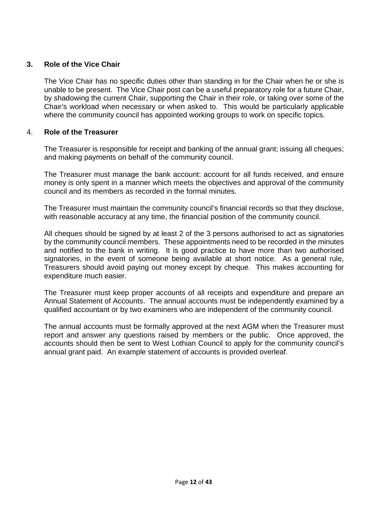### **3. Role of the Vice Chair**

The Vice Chair has no specific duties other than standing in for the Chair when he or she is unable to be present. The Vice Chair post can be a useful preparatory role for a future Chair, by shadowing the current Chair, supporting the Chair in their role, or taking over some of the Chair's workload when necessary or when asked to. This would be particularly applicable where the community council has appointed working groups to work on specific topics.

#### 4. **Role of the Treasurer**

The Treasurer is responsible for receipt and banking of the annual grant; issuing all cheques; and making payments on behalf of the community council.

The Treasurer must manage the bank account: account for all funds received, and ensure money is only spent in a manner which meets the objectives and approval of the community council and its members as recorded in the formal minutes.

The Treasurer must maintain the community council's financial records so that they disclose, with reasonable accuracy at any time, the financial position of the community council.

All cheques should be signed by at least 2 of the 3 persons authorised to act as signatories by the community council members. These appointments need to be recorded in the minutes and notified to the bank in writing. It is good practice to have more than two authorised signatories, in the event of someone being available at short notice. As a general rule, Treasurers should avoid paying out money except by cheque. This makes accounting for expenditure much easier.

The Treasurer must keep proper accounts of all receipts and expenditure and prepare an Annual Statement of Accounts. The annual accounts must be independently examined by a qualified accountant or by two examiners who are independent of the community council.

The annual accounts must be formally approved at the next AGM when the Treasurer must report and answer any questions raised by members or the public. Once approved, the accounts should then be sent to West Lothian Council to apply for the community council's annual grant paid. An example statement of accounts is provided overleaf.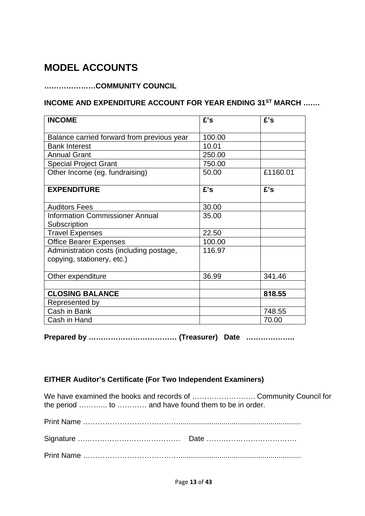# **MODEL ACCOUNTS**

# **…………………COMMUNITY COUNCIL**

# **INCOME AND EXPENDITURE ACCOUNT FOR YEAR ENDING 31ST MARCH ….…**

| <b>INCOME</b>                              | £'s    | £'s      |
|--------------------------------------------|--------|----------|
|                                            | 100.00 |          |
| Balance carried forward from previous year |        |          |
| <b>Bank Interest</b>                       | 10.01  |          |
| <b>Annual Grant</b>                        | 250.00 |          |
| <b>Special Project Grant</b>               | 750.00 |          |
| Other Income (eg. fundraising)             | 50.00  | £1160.01 |
| <b>EXPENDITURE</b>                         | £'s    | £'s      |
| <b>Auditors Fees</b>                       | 30.00  |          |
| <b>Information Commissioner Annual</b>     | 35.00  |          |
| Subscription                               |        |          |
| <b>Travel Expenses</b>                     | 22.50  |          |
| <b>Office Bearer Expenses</b>              | 100.00 |          |
| Administration costs (including postage,   | 116.97 |          |
| copying, stationery, etc.)                 |        |          |
| Other expenditure                          | 36.99  | 341.46   |
|                                            |        |          |
| <b>CLOSING BALANCE</b>                     |        | 818.55   |
| Represented by                             |        |          |
| Cash in Bank                               |        | 748.55   |
| Cash in Hand                               |        | 70.00    |

**Prepared by ……………………………… (Treasurer) Date ………………..**

# **EITHER Auditor's Certificate (For Two Independent Examiners)**

We have examined the books and records of .............................. Community Council for the period ………... to ………… and have found them to be in order.

|--|--|--|--|--|--|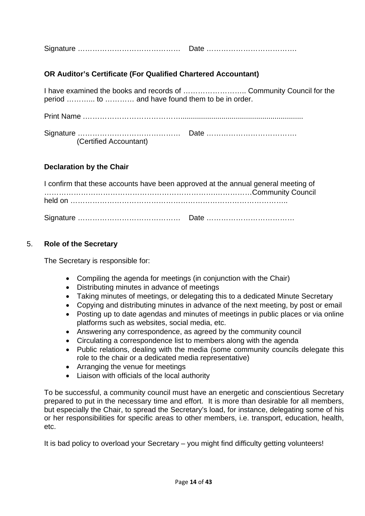|--|--|

# **OR Auditor's Certificate (For Qualified Chartered Accountant)**

I have examined the books and records of …………………….. Community Council for the period ………... to ………… and have found them to be in order.

| (Certified Accountant) |  |
|------------------------|--|

### **Declaration by the Chair**

| I confirm that these accounts have been approved at the annual general meeting of |  |
|-----------------------------------------------------------------------------------|--|
|                                                                                   |  |
|                                                                                   |  |

#### 5. **Role of the Secretary**

The Secretary is responsible for:

- Compiling the agenda for meetings (in conjunction with the Chair)
- Distributing minutes in advance of meetings
- Taking minutes of meetings, or delegating this to a dedicated Minute Secretary
- Copying and distributing minutes in advance of the next meeting, by post or email
- Posting up to date agendas and minutes of meetings in public places or via online platforms such as websites, social media, etc.
- Answering any correspondence, as agreed by the community council
- Circulating a correspondence list to members along with the agenda
- Public relations, dealing with the media (some community councils delegate this role to the chair or a dedicated media representative)
- Arranging the venue for meetings
- Liaison with officials of the local authority

To be successful, a community council must have an energetic and conscientious Secretary prepared to put in the necessary time and effort. It is more than desirable for all members, but especially the Chair, to spread the Secretary's load, for instance, delegating some of his or her responsibilities for specific areas to other members, i.e. transport, education, health, etc.

It is bad policy to overload your Secretary – you might find difficulty getting volunteers!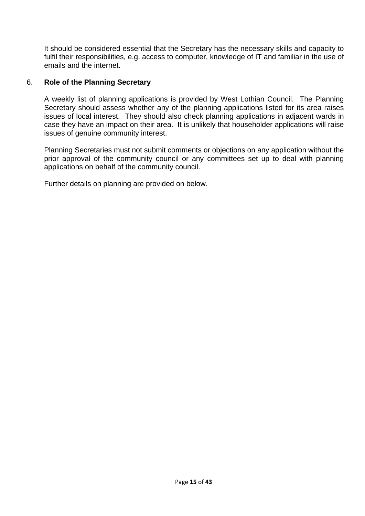It should be considered essential that the Secretary has the necessary skills and capacity to fulfil their responsibilities, e.g. access to computer, knowledge of IT and familiar in the use of emails and the internet.

### 6. **Role of the Planning Secretary**

A weekly list of planning applications is provided by West Lothian Council. The Planning Secretary should assess whether any of the planning applications listed for its area raises issues of local interest. They should also check planning applications in adjacent wards in case they have an impact on their area. It is unlikely that householder applications will raise issues of genuine community interest.

Planning Secretaries must not submit comments or objections on any application without the prior approval of the community council or any committees set up to deal with planning applications on behalf of the community council.

Further details on planning are provided on below.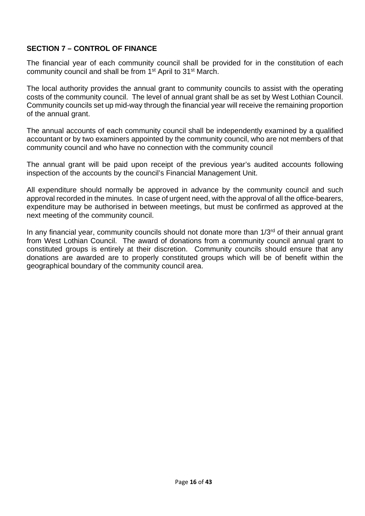### **SECTION 7 – CONTROL OF FINANCE**

The financial year of each community council shall be provided for in the constitution of each community council and shall be from 1<sup>st</sup> April to 31<sup>st</sup> March.

The local authority provides the annual grant to community councils to assist with the operating costs of the community council. The level of annual grant shall be as set by West Lothian Council. Community councils set up mid-way through the financial year will receive the remaining proportion of the annual grant.

The annual accounts of each community council shall be independently examined by a qualified accountant or by two examiners appointed by the community council, who are not members of that community council and who have no connection with the community council

The annual grant will be paid upon receipt of the previous year's audited accounts following inspection of the accounts by the council's Financial Management Unit.

All expenditure should normally be approved in advance by the community council and such approval recorded in the minutes. In case of urgent need, with the approval of all the office-bearers, expenditure may be authorised in between meetings, but must be confirmed as approved at the next meeting of the community council.

In any financial year, community councils should not donate more than  $1/3<sup>rd</sup>$  of their annual grant from West Lothian Council. The award of donations from a community council annual grant to constituted groups is entirely at their discretion. Community councils should ensure that any donations are awarded are to properly constituted groups which will be of benefit within the geographical boundary of the community council area.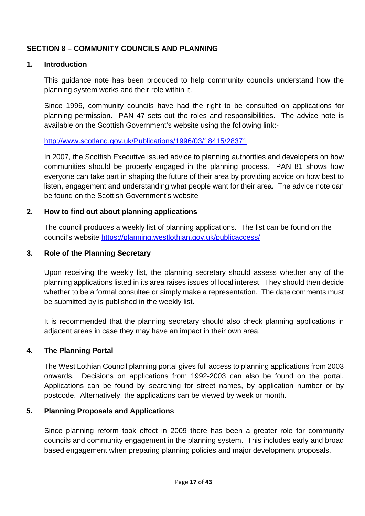# **SECTION 8 – COMMUNITY COUNCILS AND PLANNING**

#### **1. Introduction**

This guidance note has been produced to help community councils understand how the planning system works and their role within it.

Since 1996, community councils have had the right to be consulted on applications for planning permission. PAN 47 sets out the roles and responsibilities. The advice note is available on the Scottish Government's website using the following link:-

#### <http://www.scotland.gov.uk/Publications/1996/03/18415/28371>

In 2007, the Scottish Executive issued advice to planning authorities and developers on how communities should be properly engaged in the planning process. PAN 81 shows how everyone can take part in shaping the future of their area by providing advice on how best to listen, engagement and understanding what people want for their area. The advice note can be found on the Scottish Government's website

### **2. How to find out about planning applications**

The council produces a weekly list of planning applications. The list can be found on the council's website <https://planning.westlothian.gov.uk/publicaccess/>

### **3. Role of the Planning Secretary**

Upon receiving the weekly list, the planning secretary should assess whether any of the planning applications listed in its area raises issues of local interest. They should then decide whether to be a formal consultee or simply make a representation. The date comments must be submitted by is published in the weekly list.

It is recommended that the planning secretary should also check planning applications in adjacent areas in case they may have an impact in their own area.

#### **4. The Planning Portal**

The West Lothian Council planning portal gives full access to planning applications from 2003 onwards. Decisions on applications from 1992-2003 can also be found on the portal. Applications can be found by searching for street names, by application number or by postcode. Alternatively, the applications can be viewed by week or month.

### **5. Planning Proposals and Applications**

Since planning reform took effect in 2009 there has been a greater role for community councils and community engagement in the planning system. This includes early and broad based engagement when preparing planning policies and major development proposals.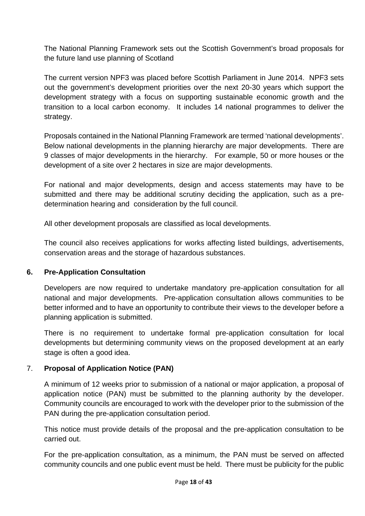The National Planning Framework sets out the Scottish Government's broad proposals for the future land use planning of Scotland

The current version NPF3 was placed before Scottish Parliament in June 2014. NPF3 sets out the government's development priorities over the next 20-30 years which support the development strategy with a focus on supporting sustainable economic growth and the transition to a local carbon economy. It includes 14 national programmes to deliver the strategy.

Proposals contained in the National Planning Framework are termed 'national developments'. Below national developments in the planning hierarchy are major developments. There are 9 classes of major developments in the hierarchy. For example, 50 or more houses or the development of a site over 2 hectares in size are major developments.

For national and major developments, design and access statements may have to be submitted and there may be additional scrutiny deciding the application, such as a predetermination hearing and consideration by the full council.

All other development proposals are classified as local developments.

The council also receives applications for works affecting listed buildings, advertisements, conservation areas and the storage of hazardous substances.

#### **6. Pre-Application Consultation**

Developers are now required to undertake mandatory pre-application consultation for all national and major developments. Pre-application consultation allows communities to be better informed and to have an opportunity to contribute their views to the developer before a planning application is submitted.

There is no requirement to undertake formal pre-application consultation for local developments but determining community views on the proposed development at an early stage is often a good idea.

### 7. **Proposal of Application Notice (PAN)**

A minimum of 12 weeks prior to submission of a national or major application, a proposal of application notice (PAN) must be submitted to the planning authority by the developer. Community councils are encouraged to work with the developer prior to the submission of the PAN during the pre-application consultation period.

This notice must provide details of the proposal and the pre-application consultation to be carried out.

For the pre-application consultation, as a minimum, the PAN must be served on affected community councils and one public event must be held. There must be publicity for the public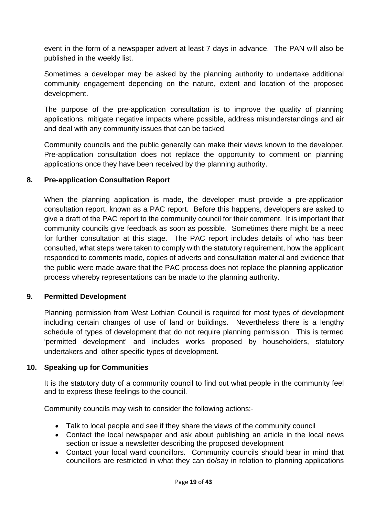event in the form of a newspaper advert at least 7 days in advance. The PAN will also be published in the weekly list.

Sometimes a developer may be asked by the planning authority to undertake additional community engagement depending on the nature, extent and location of the proposed development.

The purpose of the pre-application consultation is to improve the quality of planning applications, mitigate negative impacts where possible, address misunderstandings and air and deal with any community issues that can be tacked.

Community councils and the public generally can make their views known to the developer. Pre-application consultation does not replace the opportunity to comment on planning applications once they have been received by the planning authority.

### **8. Pre-application Consultation Report**

When the planning application is made, the developer must provide a pre-application consultation report, known as a PAC report. Before this happens, developers are asked to give a draft of the PAC report to the community council for their comment. It is important that community councils give feedback as soon as possible. Sometimes there might be a need for further consultation at this stage. The PAC report includes details of who has been consulted, what steps were taken to comply with the statutory requirement, how the applicant responded to comments made, copies of adverts and consultation material and evidence that the public were made aware that the PAC process does not replace the planning application process whereby representations can be made to the planning authority.

#### **9. Permitted Development**

Planning permission from West Lothian Council is required for most types of development including certain changes of use of land or buildings. Nevertheless there is a lengthy schedule of types of development that do not require planning permission. This is termed 'permitted development' and includes works proposed by householders, statutory undertakers and other specific types of development.

#### **10. Speaking up for Communities**

It is the statutory duty of a community council to find out what people in the community feel and to express these feelings to the council.

Community councils may wish to consider the following actions:-

- Talk to local people and see if they share the views of the community council
- Contact the local newspaper and ask about publishing an article in the local news section or issue a newsletter describing the proposed development
- Contact your local ward councillors. Community councils should bear in mind that councillors are restricted in what they can do/say in relation to planning applications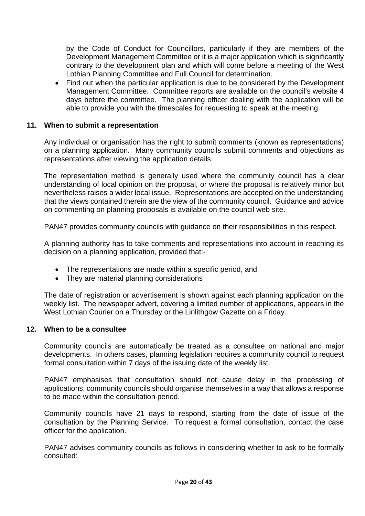by the Code of Conduct for Councillors, particularly if they are members of the Development Management Committee or it is a major application which is significantly contrary to the development plan and which will come before a meeting of the West Lothian Planning Committee and Full Council for determination.

• Find out when the particular application is due to be considered by the Development Management Committee. Committee reports are available on the council's website 4 days before the committee. The planning officer dealing with the application will be able to provide you with the timescales for requesting to speak at the meeting.

#### **11. When to submit a representation**

Any individual or organisation has the right to submit comments (known as representations) on a planning application. Many community councils submit comments and objections as representations after viewing the application details.

The representation method is generally used where the community council has a clear understanding of local opinion on the proposal, or where the proposal is relatively minor but nevertheless raises a wider local issue. Representations are accepted on the understanding that the views contained therein are the view of the community council. Guidance and advice on commenting on planning proposals is available on the council web site.

PAN47 provides community councils with guidance on their responsibilities in this respect.

A planning authority has to take comments and representations into account in reaching its decision on a planning application, provided that:-

- The representations are made within a specific period, and
- They are material planning considerations

The date of registration or advertisement is shown against each planning application on the weekly list. The newspaper advert, covering a limited number of applications, appears in the West Lothian Courier on a Thursday or the Linlithgow Gazette on a Friday.

#### **12. When to be a consultee**

Community councils are automatically be treated as a consultee on national and major developments. In others cases, planning legislation requires a community council to request formal consultation within 7 days of the issuing date of the weekly list.

PAN47 emphasises that consultation should not cause delay in the processing of applications; community councils should organise themselves in a way that allows a response to be made within the consultation period.

Community councils have 21 days to respond, starting from the date of issue of the consultation by the Planning Service. To request a formal consultation, contact the case officer for the application.

PAN47 advises community councils as follows in considering whether to ask to be formally consulted: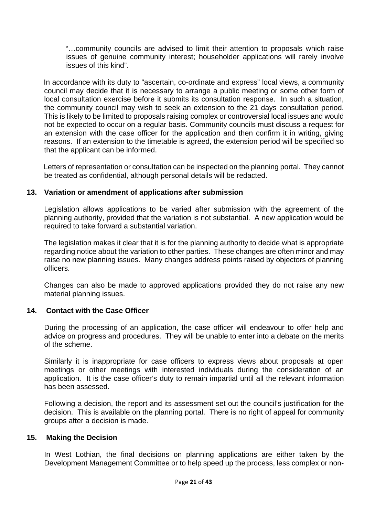"…community councils are advised to limit their attention to proposals which raise issues of genuine community interest; householder applications will rarely involve issues of this kind".

In accordance with its duty to "ascertain, co-ordinate and express" local views, a community council may decide that it is necessary to arrange a public meeting or some other form of local consultation exercise before it submits its consultation response. In such a situation, the community council may wish to seek an extension to the 21 days consultation period. This is likely to be limited to proposals raising complex or controversial local issues and would not be expected to occur on a regular basis. Community councils must discuss a request for an extension with the case officer for the application and then confirm it in writing, giving reasons. If an extension to the timetable is agreed, the extension period will be specified so that the applicant can be informed.

Letters of representation or consultation can be inspected on the planning portal. They cannot be treated as confidential, although personal details will be redacted.

#### **13. Variation or amendment of applications after submission**

Legislation allows applications to be varied after submission with the agreement of the planning authority, provided that the variation is not substantial. A new application would be required to take forward a substantial variation.

The legislation makes it clear that it is for the planning authority to decide what is appropriate regarding notice about the variation to other parties. These changes are often minor and may raise no new planning issues. Many changes address points raised by objectors of planning officers.

Changes can also be made to approved applications provided they do not raise any new material planning issues.

#### **14. Contact with the Case Officer**

During the processing of an application, the case officer will endeavour to offer help and advice on progress and procedures. They will be unable to enter into a debate on the merits of the scheme.

Similarly it is inappropriate for case officers to express views about proposals at open meetings or other meetings with interested individuals during the consideration of an application. It is the case officer's duty to remain impartial until all the relevant information has been assessed.

Following a decision, the report and its assessment set out the council's justification for the decision. This is available on the planning portal. There is no right of appeal for community groups after a decision is made.

#### **15. Making the Decision**

In West Lothian, the final decisions on planning applications are either taken by the Development Management Committee or to help speed up the process, less complex or non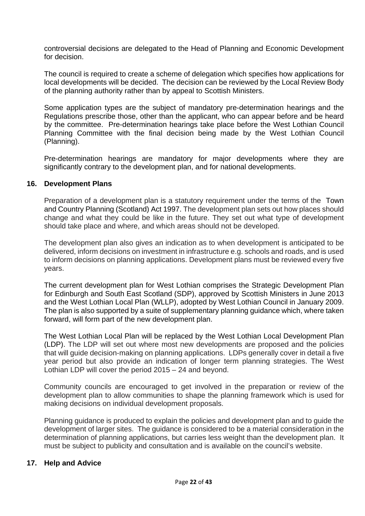controversial decisions are delegated to the Head of Planning and Economic Development for decision.

The council is required to create a scheme of delegation which specifies how applications for local developments will be decided. The decision can be reviewed by the Local Review Body of the planning authority rather than by appeal to Scottish Ministers.

Some application types are the subject of mandatory pre-determination hearings and the Regulations prescribe those, other than the applicant, who can appear before and be heard by the committee. Pre-determination hearings take place before the West Lothian Council Planning Committee with the final decision being made by the West Lothian Council (Planning).

Pre-determination hearings are mandatory for major developments where they are significantly contrary to the development plan, and for national developments.

#### **16. Development Plans**

Preparation of a development plan is a statutory requirement under the terms of the Town and Country Planning (Scotland) Act 1997. The development plan sets out how places should change and what they could be like in the future. They set out what type of development should take place and where, and which areas should not be developed.

The development plan also gives an indication as to when development is anticipated to be delivered, inform decisions on investment in infrastructure e.g. schools and roads, and is used to inform decisions on planning applications. Development plans must be reviewed every five years.

The current development plan for West Lothian comprises the Strategic Development Plan for Edinburgh and South East Scotland (SDP), approved by Scottish Ministers in June 2013 and the West Lothian Local Plan (WLLP), adopted by West Lothian Council in January 2009. The plan is also supported by a suite of supplementary planning guidance which, where taken forward, will form part of the new development plan.

The West Lothian Local Plan will be replaced by the West Lothian Local Development Plan (LDP). The LDP will set out where most new developments are proposed and the policies that will guide decision-making on planning applications. LDPs generally cover in detail a five year period but also provide an indication of longer term planning strategies. The West Lothian LDP will cover the period 2015 – 24 and beyond.

Community councils are encouraged to get involved in the preparation or review of the development plan to allow communities to shape the planning framework which is used for making decisions on individual development proposals.

Planning guidance is produced to explain the policies and development plan and to guide the development of larger sites. The guidance is considered to be a material consideration in the determination of planning applications, but carries less weight than the development plan. It must be subject to publicity and consultation and is available on the council's website.

#### **17. Help and Advice**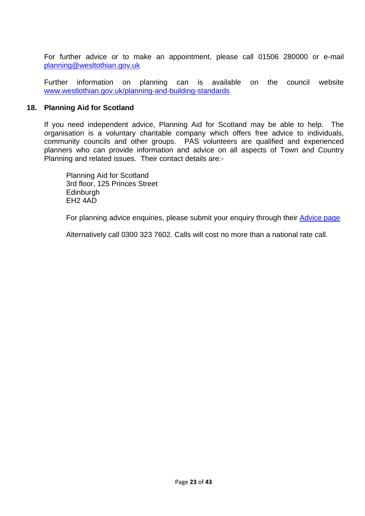For further advice or to make an appointment, please call 01506 280000 or e-mail [planning@wesltothian.gov.uk](mailto:planning@wesltothian.gov.uk)

Further information on planning can is available on the council website [www.westlothian.gov.uk/planning-and-building-standards](http://www.westlothian.gov.uk/planning-and-building-standards)

#### **18. Planning Aid for Scotland**

If you need independent advice, Planning Aid for Scotland may be able to help. The organisation is a voluntary charitable company which offers free advice to individuals, community councils and other groups. PAS volunteers are qualified and experienced planners who can provide information and advice on all aspects of Town and Country Planning and related issues. Their contact details are:-

Planning Aid for Scotland 3rd floor, 125 Princes Street **Edinburgh** EH2 4AD

For planning advice enquiries, please submit your enquiry through their [Advice page](http://www.pas.org.uk/advice/)

Alternatively call 0300 323 7602. Calls will cost no more than a national rate call.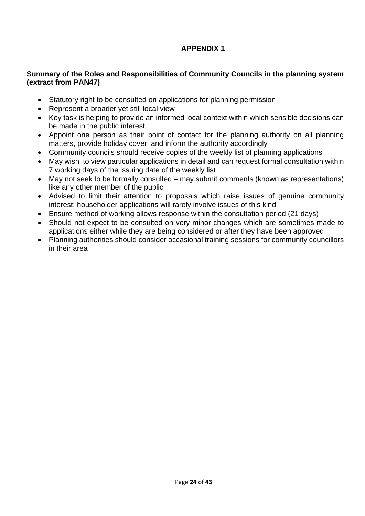# **APPENDIX 1**

# **Summary of the Roles and Responsibilities of Community Councils in the planning system (extract from PAN47)**

- Statutory right to be consulted on applications for planning permission
- Represent a broader yet still local view
- Key task is helping to provide an informed local context within which sensible decisions can be made in the public interest
- Appoint one person as their point of contact for the planning authority on all planning matters, provide holiday cover, and inform the authority accordingly
- Community councils should receive copies of the weekly list of planning applications
- May wish to view particular applications in detail and can request formal consultation within 7 working days of the issuing date of the weekly list
- May not seek to be formally consulted may submit comments (known as representations) like any other member of the public
- Advised to limit their attention to proposals which raise issues of genuine community interest; householder applications will rarely involve issues of this kind
- Ensure method of working allows response within the consultation period (21 days)
- Should not expect to be consulted on very minor changes which are sometimes made to applications either while they are being considered or after they have been approved
- Planning authorities should consider occasional training sessions for community councillors in their area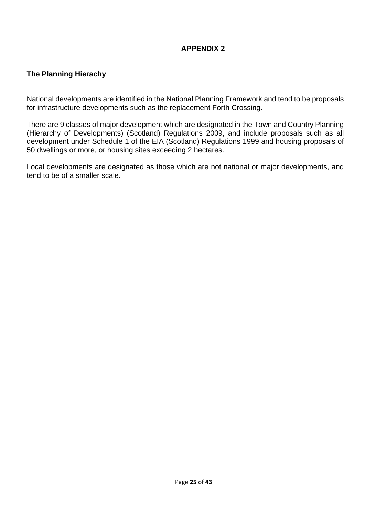# **APPENDIX 2**

# **The Planning Hierachy**

National developments are identified in the National Planning Framework and tend to be proposals for infrastructure developments such as the replacement Forth Crossing.

There are 9 classes of major development which are designated in the Town and Country Planning (Hierarchy of Developments) (Scotland) Regulations 2009, and include proposals such as all development under Schedule 1 of the EIA (Scotland) Regulations 1999 and housing proposals of 50 dwellings or more, or housing sites exceeding 2 hectares.

Local developments are designated as those which are not national or major developments, and tend to be of a smaller scale.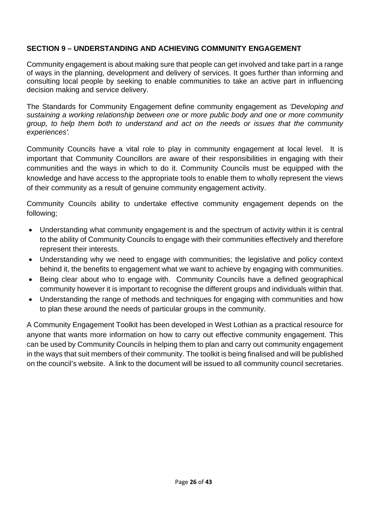# **SECTION 9 – UNDERSTANDING AND ACHIEVING COMMUNITY ENGAGEMENT**

Community engagement is about making sure that people can get involved and take part in a range of ways in the planning, development and delivery of services. It goes further than informing and consulting local people by seeking to enable communities to take an active part in influencing decision making and service delivery.

The Standards for Community Engagement define community engagement as *'Developing and sustaining a working relationship between one or more public body and one or more community group, to help them both to understand and act on the needs or issues that the community experiences'.* 

Community Councils have a vital role to play in community engagement at local level. It is important that Community Councillors are aware of their responsibilities in engaging with their communities and the ways in which to do it. Community Councils must be equipped with the knowledge and have access to the appropriate tools to enable them to wholly represent the views of their community as a result of genuine community engagement activity.

Community Councils ability to undertake effective community engagement depends on the following;

- Understanding what community engagement is and the spectrum of activity within it is central to the ability of Community Councils to engage with their communities effectively and therefore represent their interests.
- Understanding why we need to engage with communities; the legislative and policy context behind it, the benefits to engagement what we want to achieve by engaging with communities.
- Being clear about who to engage with. Community Councils have a defined geographical community however it is important to recognise the different groups and individuals within that.
- Understanding the range of methods and techniques for engaging with communities and how to plan these around the needs of particular groups in the community.

A Community Engagement Toolkit has been developed in West Lothian as a practical resource for anyone that wants more information on how to carry out effective community engagement. This can be used by Community Councils in helping them to plan and carry out community engagement in the ways that suit members of their community. The toolkit is being finalised and will be published on the council's website. A link to the document will be issued to all community council secretaries.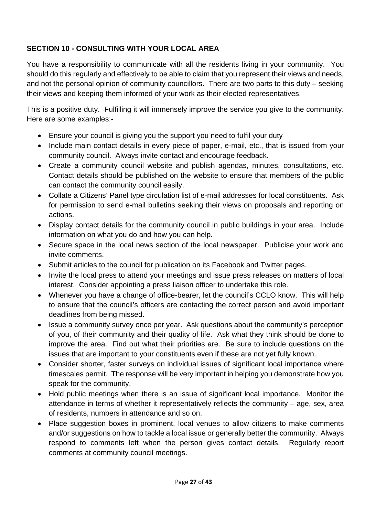# **SECTION 10 - CONSULTING WITH YOUR LOCAL AREA**

You have a responsibility to communicate with all the residents living in your community. You should do this regularly and effectively to be able to claim that you represent their views and needs, and not the personal opinion of community councillors. There are two parts to this duty – seeking their views and keeping them informed of your work as their elected representatives.

This is a positive duty. Fulfilling it will immensely improve the service you give to the community. Here are some examples:-

- Ensure your council is giving you the support you need to fulfil your duty
- Include main contact details in every piece of paper, e-mail, etc., that is issued from your community council. Always invite contact and encourage feedback.
- Create a community council website and publish agendas, minutes, consultations, etc. Contact details should be published on the website to ensure that members of the public can contact the community council easily.
- Collate a Citizens' Panel type circulation list of e-mail addresses for local constituents. Ask for permission to send e-mail bulletins seeking their views on proposals and reporting on actions.
- Display contact details for the community council in public buildings in your area. Include information on what you do and how you can help.
- Secure space in the local news section of the local newspaper. Publicise your work and invite comments.
- Submit articles to the council for publication on its Facebook and Twitter pages.
- Invite the local press to attend your meetings and issue press releases on matters of local interest. Consider appointing a press liaison officer to undertake this role.
- Whenever you have a change of office-bearer, let the council's CCLO know. This will help to ensure that the council's officers are contacting the correct person and avoid important deadlines from being missed.
- Issue a community survey once per year. Ask questions about the community's perception of you, of their community and their quality of life. Ask what they think should be done to improve the area. Find out what their priorities are. Be sure to include questions on the issues that are important to your constituents even if these are not yet fully known.
- Consider shorter, faster surveys on individual issues of significant local importance where timescales permit. The response will be very important in helping you demonstrate how you speak for the community.
- Hold public meetings when there is an issue of significant local importance. Monitor the attendance in terms of whether it representatively reflects the community – age, sex, area of residents, numbers in attendance and so on.
- Place suggestion boxes in prominent, local venues to allow citizens to make comments and/or suggestions on how to tackle a local issue or generally better the community. Always respond to comments left when the person gives contact details. Regularly report comments at community council meetings.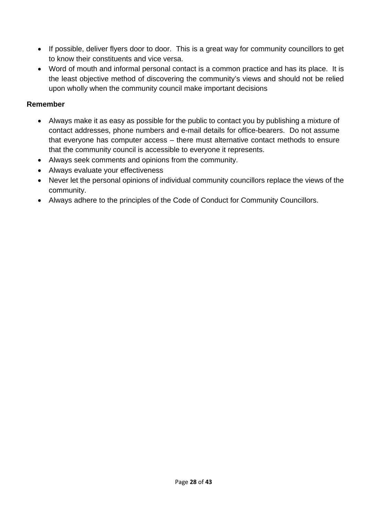- If possible, deliver flyers door to door. This is a great way for community councillors to get to know their constituents and vice versa.
- Word of mouth and informal personal contact is a common practice and has its place. It is the least objective method of discovering the community's views and should not be relied upon wholly when the community council make important decisions

### **Remember**

- Always make it as easy as possible for the public to contact you by publishing a mixture of contact addresses, phone numbers and e-mail details for office-bearers. Do not assume that everyone has computer access – there must alternative contact methods to ensure that the community council is accessible to everyone it represents.
- Always seek comments and opinions from the community.
- Always evaluate your effectiveness
- Never let the personal opinions of individual community councillors replace the views of the community.
- Always adhere to the principles of the Code of Conduct for Community Councillors.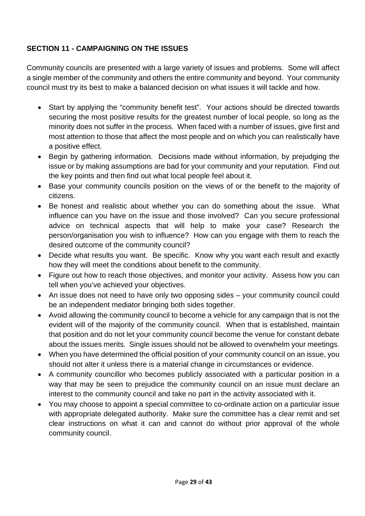# **SECTION 11 - CAMPAIGNING ON THE ISSUES**

Community councils are presented with a large variety of issues and problems. Some will affect a single member of the community and others the entire community and beyond. Your community council must try its best to make a balanced decision on what issues it will tackle and how.

- Start by applying the "community benefit test". Your actions should be directed towards securing the most positive results for the greatest number of local people, so long as the minority does not suffer in the process. When faced with a number of issues, give first and most attention to those that affect the most people and on which you can realistically have a positive effect.
- Begin by gathering information. Decisions made without information, by prejudging the issue or by making assumptions are bad for your community and your reputation. Find out the key points and then find out what local people feel about it.
- Base your community councils position on the views of or the benefit to the majority of citizens.
- Be honest and realistic about whether you can do something about the issue. What influence can you have on the issue and those involved? Can you secure professional advice on technical aspects that will help to make your case? Research the person/organisation you wish to influence? How can you engage with them to reach the desired outcome of the community council?
- Decide what results you want. Be specific. Know why you want each result and exactly how they will meet the conditions about benefit to the community.
- Figure out how to reach those objectives, and monitor your activity. Assess how you can tell when you've achieved your objectives.
- An issue does not need to have only two opposing sides your community council could be an independent mediator bringing both sides together.
- Avoid allowing the community council to become a vehicle for any campaign that is not the evident will of the majority of the community council. When that is established, maintain that position and do not let your community council become the venue for constant debate about the issues merits. Single issues should not be allowed to overwhelm your meetings.
- When you have determined the official position of your community council on an issue, you should not alter it unless there is a material change in circumstances or evidence.
- A community councillor who becomes publicly associated with a particular position in a way that may be seen to prejudice the community council on an issue must declare an interest to the community council and take no part in the activity associated with it.
- You may choose to appoint a special committee to co-ordinate action on a particular issue with appropriate delegated authority. Make sure the committee has a clear remit and set clear instructions on what it can and cannot do without prior approval of the whole community council.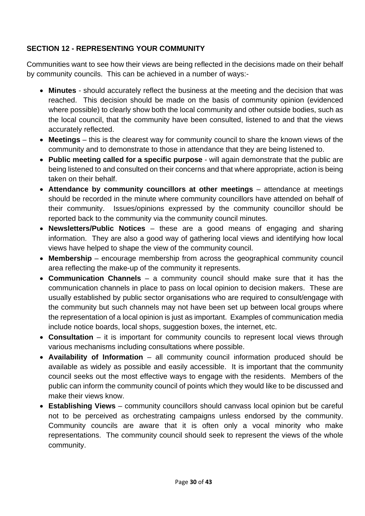# **SECTION 12 - REPRESENTING YOUR COMMUNITY**

Communities want to see how their views are being reflected in the decisions made on their behalf by community councils. This can be achieved in a number of ways:-

- **Minutes**  should accurately reflect the business at the meeting and the decision that was reached. This decision should be made on the basis of community opinion (evidenced where possible) to clearly show both the local community and other outside bodies, such as the local council, that the community have been consulted, listened to and that the views accurately reflected.
- **Meetings** this is the clearest way for community council to share the known views of the community and to demonstrate to those in attendance that they are being listened to.
- **Public meeting called for a specific purpose** will again demonstrate that the public are being listened to and consulted on their concerns and that where appropriate, action is being taken on their behalf.
- **Attendance by community councillors at other meetings** attendance at meetings should be recorded in the minute where community councillors have attended on behalf of their community. Issues/opinions expressed by the community councillor should be reported back to the community via the community council minutes.
- **Newsletters/Public Notices** these are a good means of engaging and sharing information. They are also a good way of gathering local views and identifying how local views have helped to shape the view of the community council.
- **Membership** encourage membership from across the geographical community council area reflecting the make-up of the community it represents.
- **Communication Channels** a community council should make sure that it has the communication channels in place to pass on local opinion to decision makers. These are usually established by public sector organisations who are required to consult/engage with the community but such channels may not have been set up between local groups where the representation of a local opinion is just as important. Examples of communication media include notice boards, local shops, suggestion boxes, the internet, etc.
- **Consultation** it is important for community councils to represent local views through various mechanisms including consultations where possible.
- **Availability of Information** all community council information produced should be available as widely as possible and easily accessible. It is important that the community council seeks out the most effective ways to engage with the residents. Members of the public can inform the community council of points which they would like to be discussed and make their views know.
- **Establishing Views** community councillors should canvass local opinion but be careful not to be perceived as orchestrating campaigns unless endorsed by the community. Community councils are aware that it is often only a vocal minority who make representations. The community council should seek to represent the views of the whole community.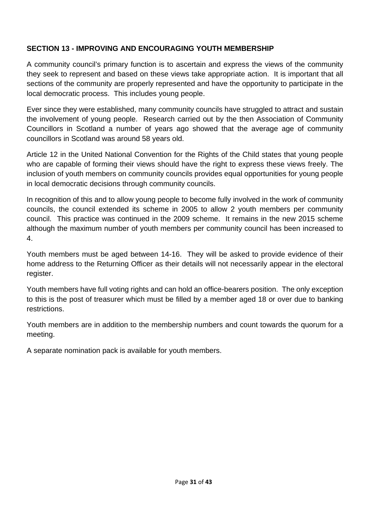# **SECTION 13 - IMPROVING AND ENCOURAGING YOUTH MEMBERSHIP**

A community council's primary function is to ascertain and express the views of the community they seek to represent and based on these views take appropriate action. It is important that all sections of the community are properly represented and have the opportunity to participate in the local democratic process. This includes young people.

Ever since they were established, many community councils have struggled to attract and sustain the involvement of young people. Research carried out by the then Association of Community Councillors in Scotland a number of years ago showed that the average age of community councillors in Scotland was around 58 years old.

Article 12 in the United National Convention for the Rights of the Child states that young people who are capable of forming their views should have the right to express these views freely. The inclusion of youth members on community councils provides equal opportunities for young people in local democratic decisions through community councils.

In recognition of this and to allow young people to become fully involved in the work of community councils, the council extended its scheme in 2005 to allow 2 youth members per community council. This practice was continued in the 2009 scheme. It remains in the new 2015 scheme although the maximum number of youth members per community council has been increased to 4.

Youth members must be aged between 14-16. They will be asked to provide evidence of their home address to the Returning Officer as their details will not necessarily appear in the electoral register.

Youth members have full voting rights and can hold an office-bearers position. The only exception to this is the post of treasurer which must be filled by a member aged 18 or over due to banking restrictions.

Youth members are in addition to the membership numbers and count towards the quorum for a meeting.

A separate nomination pack is available for youth members.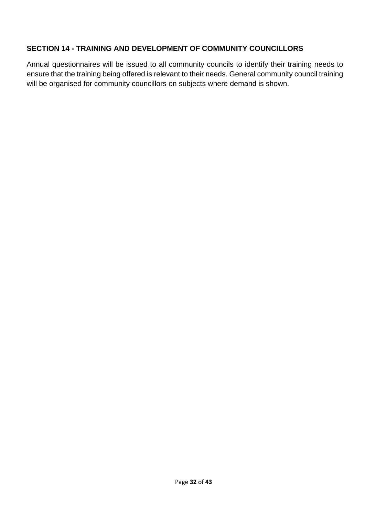# **SECTION 14 - TRAINING AND DEVELOPMENT OF COMMUNITY COUNCILLORS**

Annual questionnaires will be issued to all community councils to identify their training needs to ensure that the training being offered is relevant to their needs. General community council training will be organised for community councillors on subjects where demand is shown.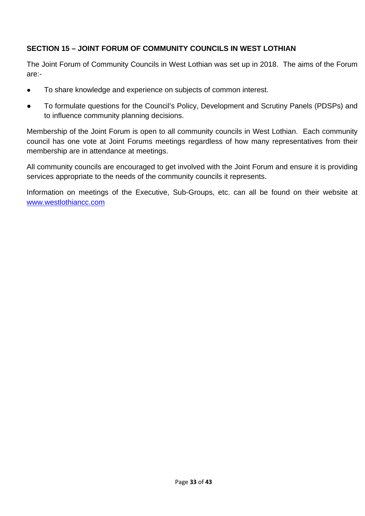# **SECTION 15 – JOINT FORUM OF COMMUNITY COUNCILS IN WEST LOTHIAN**

The Joint Forum of Community Councils in West Lothian was set up in 2018. The aims of the Forum are:-

- To share knowledge and experience on subjects of common interest.
- To formulate questions for the Council's Policy, Development and Scrutiny Panels (PDSPs) and to influence community planning decisions.

Membership of the Joint Forum is open to all community councils in West Lothian. Each community council has one vote at Joint Forums meetings regardless of how many representatives from their membership are in attendance at meetings.

All community councils are encouraged to get involved with the Joint Forum and ensure it is providing services appropriate to the needs of the community councils it represents.

Information on meetings of the Executive, Sub-Groups, etc. can all be found on their website at [www.westlothiancc.com](http://www.westlothiancc.com/)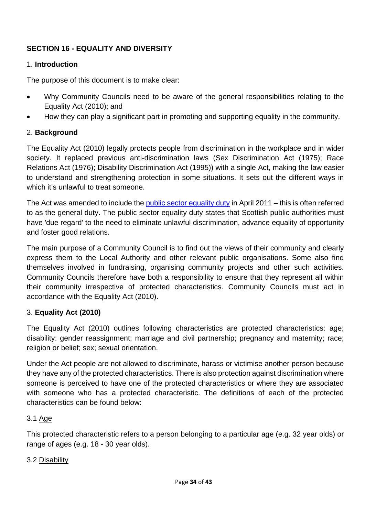# **SECTION 16 - EQUALITY AND DIVERSITY**

### 1. **Introduction**

The purpose of this document is to make clear:

- Why Community Councils need to be aware of the general responsibilities relating to the Equality Act (2010); and
- How they can play a significant part in promoting and supporting equality in the community.

### 2. **Background**

The Equality Act (2010) legally protects people from discrimination in the workplace and in wider society. It replaced previous anti-discrimination laws (Sex Discrimination Act (1975); Race Relations Act (1976); Disability Discrimination Act (1995)) with a single Act, making the law easier to understand and strengthening protection in some situations. It sets out the different ways in which it's unlawful to treat someone.

The Act was amended to include the [public sector equality duty](http://www.legislation.gov.uk/ukpga/2010/15/contents) in April 2011 – this is often referred to as the general duty. The public sector equality duty states that Scottish public authorities must have 'due regard' to the need to eliminate unlawful discrimination, advance equality of opportunity and foster good relations.

The main purpose of a Community Council is to find out the views of their community and clearly express them to the Local Authority and other relevant public organisations. Some also find themselves involved in fundraising, organising community projects and other such activities. Community Councils therefore have both a responsibility to ensure that they represent all within their community irrespective of protected characteristics. Community Councils must act in accordance with the Equality Act (2010).

### 3. **Equality Act (2010)**

The Equality Act (2010) outlines following characteristics are protected characteristics: age; disability: gender reassignment; marriage and civil partnership; pregnancy and maternity; race; religion or belief; sex; sexual orientation.

Under the Act people are not allowed to discriminate, harass or victimise another person because they have any of the protected characteristics. There is also protection against discrimination where someone is perceived to have one of the protected characteristics or where they are associated with someone who has a protected characteristic. The definitions of each of the protected characteristics can be found below:

### 3.1 Age

This protected characteristic refers to a person belonging to a particular age (e.g. 32 year olds) or range of ages (e.g. 18 - 30 year olds).

#### 3.2 Disability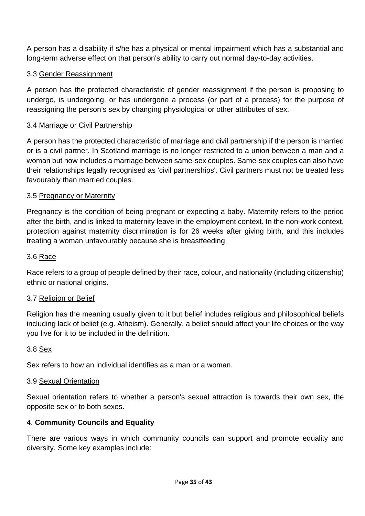A person has a disability if s/he has a physical or mental impairment which has a substantial and long-term adverse effect on that person's ability to carry out normal day-to-day activities.

# 3.3 Gender Reassignment

A person has the protected characteristic of gender reassignment if the person is proposing to undergo, is undergoing, or has undergone a process (or part of a process) for the purpose of reassigning the person's sex by changing physiological or other attributes of sex.

## 3.4 Marriage or Civil Partnership

A person has the protected characteristic of marriage and civil partnership if the person is married or is a civil partner. In Scotland marriage is no longer restricted to a union between a man and a woman but now includes a marriage between same-sex couples. Same-sex couples can also have their relationships legally recognised as 'civil partnerships'. Civil partners must not be treated less favourably than married couples.

### 3.5 Pregnancy or Maternity

Pregnancy is the condition of being pregnant or expecting a baby. Maternity refers to the period after the birth, and is linked to maternity leave in the employment context. In the non-work context, protection against maternity discrimination is for 26 weeks after giving birth, and this includes treating a woman unfavourably because she is breastfeeding.

# 3.6 Race

Race refers to a group of people defined by their race, colour, and nationality (including citizenship) ethnic or national origins.

### 3.7 Religion or Belief

Religion has the meaning usually given to it but belief includes religious and philosophical beliefs including lack of belief (e.g. Atheism). Generally, a belief should affect your life choices or the way you live for it to be included in the definition.

### 3.8 Sex

Sex refers to how an individual identifies as a man or a woman.

### 3.9 Sexual Orientation

Sexual orientation refers to whether a person's sexual attraction is towards their own sex, the opposite sex or to both sexes.

# 4. **Community Councils and Equality**

There are various ways in which community councils can support and promote equality and diversity. Some key examples include: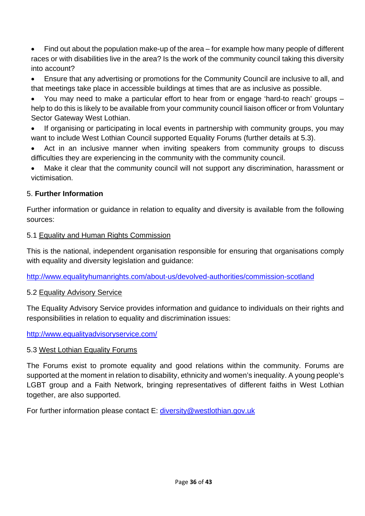• Find out about the population make-up of the area – for example how many people of different races or with disabilities live in the area? Is the work of the community council taking this diversity into account?

• Ensure that any advertising or promotions for the Community Council are inclusive to all, and that meetings take place in accessible buildings at times that are as inclusive as possible.

• You may need to make a particular effort to hear from or engage 'hard-to reach' groups – help to do this is likely to be available from your community council liaison officer or from Voluntary Sector Gateway West Lothian.

• If organising or participating in local events in partnership with community groups, you may want to include West Lothian Council supported Equality Forums (further details at 5.3).

Act in an inclusive manner when inviting speakers from community groups to discuss difficulties they are experiencing in the community with the community council.

• Make it clear that the community council will not support any discrimination, harassment or victimisation.

# 5. **Further Information**

Further information or guidance in relation to equality and diversity is available from the following sources:

# 5.1 Equality and Human Rights Commission

This is the national, independent organisation responsible for ensuring that organisations comply with equality and diversity legislation and guidance:

<http://www.equalityhumanrights.com/about-us/devolved-authorities/commission-scotland>

# 5.2 Equality Advisory Service

The Equality Advisory Service provides information and guidance to individuals on their rights and responsibilities in relation to equality and discrimination issues:

<http://www.equalityadvisoryservice.com/>

# 5.3 West Lothian Equality Forums

The Forums exist to promote equality and good relations within the community. Forums are supported at the moment in relation to disability, ethnicity and women's inequality. A young people's LGBT group and a Faith Network, bringing representatives of different faiths in West Lothian together, are also supported.

For further information please contact E: [diversity@westlothian.gov.uk](mailto:diversity@westlothian.gov.uk)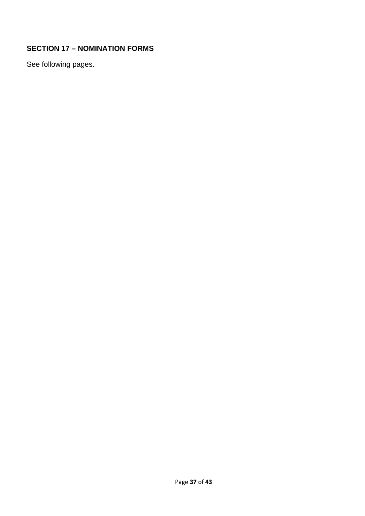# **SECTION 17 – NOMINATION FORMS**

See following pages.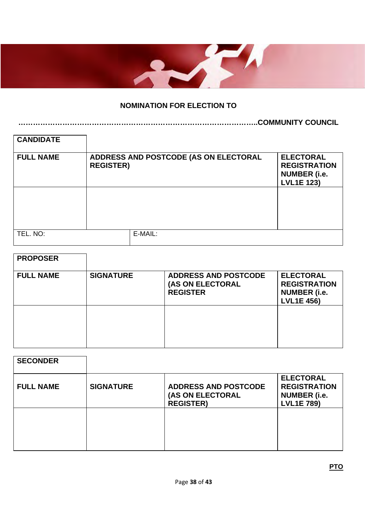

# **NOMINATION FOR ELECTION TO**

**……………………………………………………………………………………..COMMUNITY COUNCIL**

| <b>CANDIDATE</b> |                  |                                       |                                                                                     |
|------------------|------------------|---------------------------------------|-------------------------------------------------------------------------------------|
| <b>FULL NAME</b> | <b>REGISTER)</b> | ADDRESS AND POSTCODE (AS ON ELECTORAL | <b>ELECTORAL</b><br><b>REGISTRATION</b><br><b>NUMBER</b> (i.e.<br><b>LVL1E 123)</b> |
|                  |                  |                                       |                                                                                     |
| TEL. NO:         |                  | E-MAIL:                               |                                                                                     |

| <b>PROPOSER</b>  |                  |                                                                    |                                                                                     |
|------------------|------------------|--------------------------------------------------------------------|-------------------------------------------------------------------------------------|
| <b>FULL NAME</b> | <b>SIGNATURE</b> | <b>ADDRESS AND POSTCODE</b><br>(AS ON ELECTORAL<br><b>REGISTER</b> | <b>ELECTORAL</b><br><b>REGISTRATION</b><br><b>NUMBER</b> (i.e.<br><b>LVL1E 456)</b> |
|                  |                  |                                                                    |                                                                                     |

| <b>SECONDER</b>  |                  |                                                                     |                                                                                     |
|------------------|------------------|---------------------------------------------------------------------|-------------------------------------------------------------------------------------|
| <b>FULL NAME</b> | <b>SIGNATURE</b> | <b>ADDRESS AND POSTCODE</b><br>(AS ON ELECTORAL<br><b>REGISTER)</b> | <b>ELECTORAL</b><br><b>REGISTRATION</b><br><b>NUMBER</b> (i.e.<br><b>LVL1E 789)</b> |
|                  |                  |                                                                     |                                                                                     |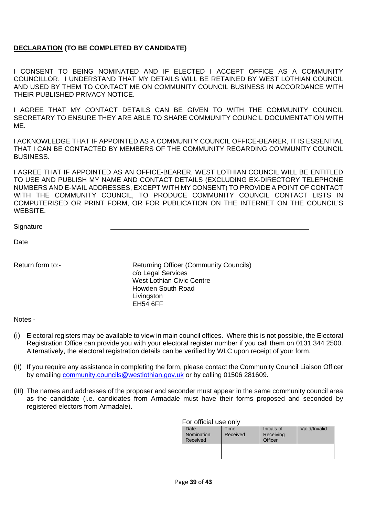#### **DECLARATION (TO BE COMPLETED BY CANDIDATE)**

I CONSENT TO BEING NOMINATED AND IF ELECTED I ACCEPT OFFICE AS A COMMUNITY COUNCILLOR. I UNDERSTAND THAT MY DETAILS WILL BE RETAINED BY WEST LOTHIAN COUNCIL AND USED BY THEM TO CONTACT ME ON COMMUNITY COUNCIL BUSINESS IN ACCORDANCE WITH THEIR PUBLISHED PRIVACY NOTICE.

I AGREE THAT MY CONTACT DETAILS CAN BE GIVEN TO WITH THE COMMUNITY COUNCIL SECRETARY TO ENSURE THEY ARE ABLE TO SHARE COMMUNITY COUNCIL DOCUMENTATION WITH ME.

I ACKNOWLEDGE THAT IF APPOINTED AS A COMMUNITY COUNCIL OFFICE-BEARER, IT IS ESSENTIAL THAT I CAN BE CONTACTED BY MEMBERS OF THE COMMUNITY REGARDING COMMUNITY COUNCIL BUSINESS.

I AGREE THAT IF APPOINTED AS AN OFFICE-BEARER, WEST LOTHIAN COUNCIL WILL BE ENTITLED TO USE AND PUBLISH MY NAME AND CONTACT DETAILS (EXCLUDING EX-DIRECTORY TELEPHONE NUMBERS AND E-MAIL ADDRESSES, EXCEPT WITH MY CONSENT) TO PROVIDE A POINT OF CONTACT WITH THE COMMUNITY COUNCIL, TO PRODUCE COMMUNITY COUNCIL CONTACT LISTS IN COMPUTERISED OR PRINT FORM, OR FOR PUBLICATION ON THE INTERNET ON THE COUNCIL'S WEBSITE.

**Signature** 

Date

Return form to:- Returning Officer (Community Councils) c/o Legal Services West Lothian Civic Centre Howden South Road **Livingston** EH54 6FF

Notes -

- (i) Electoral registers may be available to view in main council offices. Where this is not possible, the Electoral Registration Office can provide you with your electoral register number if you call them on 0131 344 2500. Alternatively, the electoral registration details can be verified by WLC upon receipt of your form.
- (ii) If you require any assistance in completing the form, please contact the Community Council Liaison Officer by emailing [community.councils@westlothian.gov.uk](mailto:community.councils@westlothian.gov.uk) or by calling 01506 281609.
- (iii) The names and addresses of the proposer and seconder must appear in the same community council area as the candidate (i.e. candidates from Armadale must have their forms proposed and seconded by registered electors from Armadale).

For official use only

| Date<br>Nomination<br>Received | Time<br>Received | Initials of<br>Receiving<br>Officer | Valid/Invalid |
|--------------------------------|------------------|-------------------------------------|---------------|
|                                |                  |                                     |               |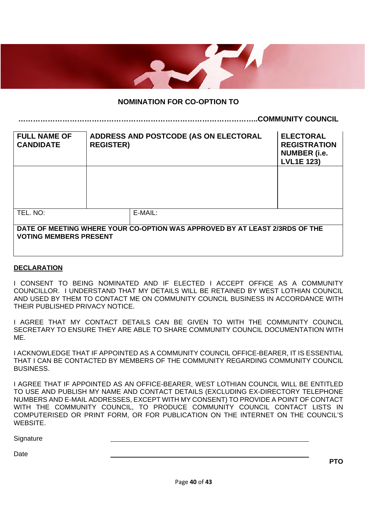

#### **NOMINATION FOR CO-OPTION TO**

**……………………………………………………………………………………..COMMUNITY COUNCIL**

**FULL NAME OF CANDIDATE ADDRESS AND POSTCODE (AS ON ELECTORAL REGISTER) ELECTORAL REGISTRATION NUMBER (i.e. LVL1E 123)** TEL. NO: E-MAIL: **DATE OF MEETING WHERE YOUR CO-OPTION WAS APPROVED BY AT LEAST 2/3RDS OF THE VOTING MEMBERS PRESENT**

#### **DECLARATION**

I CONSENT TO BEING NOMINATED AND IF ELECTED I ACCEPT OFFICE AS A COMMUNITY COUNCILLOR. I UNDERSTAND THAT MY DETAILS WILL BE RETAINED BY WEST LOTHIAN COUNCIL AND USED BY THEM TO CONTACT ME ON COMMUNITY COUNCIL BUSINESS IN ACCORDANCE WITH THEIR PUBLISHED PRIVACY NOTICE.

I AGREE THAT MY CONTACT DETAILS CAN BE GIVEN TO WITH THE COMMUNITY COUNCIL SECRETARY TO ENSURE THEY ARE ABLE TO SHARE COMMUNITY COUNCIL DOCUMENTATION WITH ME.

I ACKNOWLEDGE THAT IF APPOINTED AS A COMMUNITY COUNCIL OFFICE-BEARER, IT IS ESSENTIAL THAT I CAN BE CONTACTED BY MEMBERS OF THE COMMUNITY REGARDING COMMUNITY COUNCIL **BUSINESS** 

I AGREE THAT IF APPOINTED AS AN OFFICE-BEARER, WEST LOTHIAN COUNCIL WILL BE ENTITLED TO USE AND PUBLISH MY NAME AND CONTACT DETAILS (EXCLUDING EX-DIRECTORY TELEPHONE NUMBERS AND E-MAIL ADDRESSES, EXCEPT WITH MY CONSENT) TO PROVIDE A POINT OF CONTACT WITH THE COMMUNITY COUNCIL, TO PRODUCE COMMUNITY COUNCIL CONTACT LISTS IN COMPUTERISED OR PRINT FORM, OR FOR PUBLICATION ON THE INTERNET ON THE COUNCIL'S WEBSITE.

**Signature** 

**Date** 

**PTO**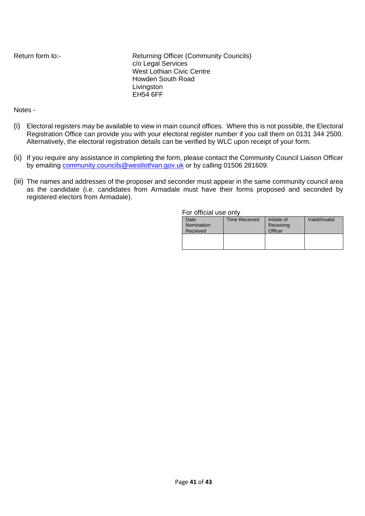Return form to:- Returning Officer (Community Councils) c/o Legal Services West Lothian Civic Centre Howden South Road Livingston EH54 6FF

#### Notes -

- (i) Electoral registers may be available to view in main council offices. Where this is not possible, the Electoral Registration Office can provide you with your electoral register number if you call them on 0131 344 2500. Alternatively, the electoral registration details can be verified by WLC upon receipt of your form.
- (ii) If you require any assistance in completing the form, please contact the Community Council Liaison Officer by emailing [community.councils@westlothian.gov.uk](mailto:community.councils@westlothian.gov.uk) or by calling 01506 281609.
- (iii) The names and addresses of the proposer and seconder must appear in the same community council area as the candidate (i.e. candidates from Armadale must have their forms proposed and seconded by registered electors from Armadale).

#### For official use only

| .          |                      |             |               |
|------------|----------------------|-------------|---------------|
| Date       | <b>Time Received</b> | Initials of | Valid/Invalid |
| Nomination |                      | Receiving   |               |
| Received   |                      | Officer     |               |
|            |                      |             |               |
|            |                      |             |               |
|            |                      |             |               |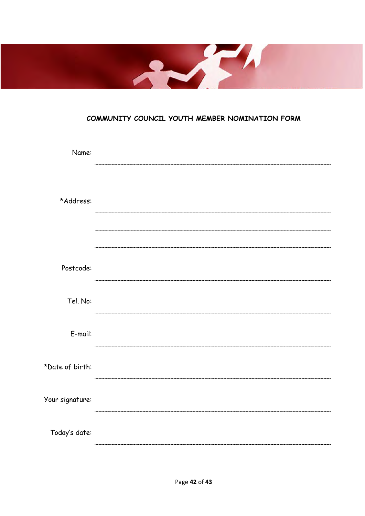

# **COMMUNITY COUNCIL YOUTH MEMBER NOMINATION FORM**

| Name:           |  |
|-----------------|--|
| *Address:       |  |
| Postcode:       |  |
| Tel. No:        |  |
| E-mail:         |  |
| *Date of birth: |  |
| Your signature: |  |
| Today's date:   |  |